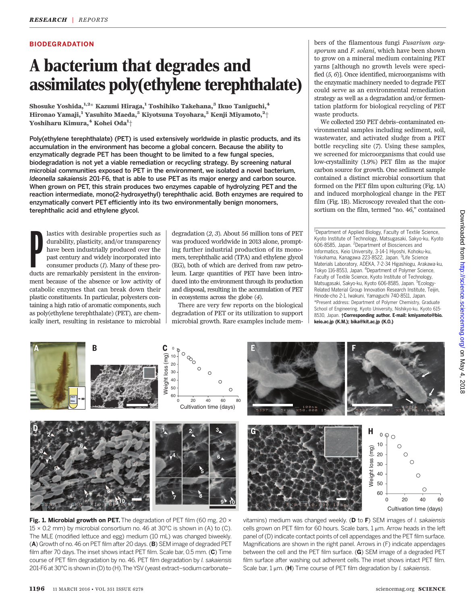## **BIODEGRADATION**

# A bacterium that degrades and assimilates poly(ethylene terephthalate)

Shosuke Yoshida, 1,2\* Kazumi Hiraga, 1 Toshihiko Takehana, 3 Ikuo Taniguchi, 4 Hironao Yamaji, $^1$  Yasuhito Maeda, $^5$  Kiyotsuna Toyohara, $^5$  Kenji Miyamoto, $^2\!+\!$ Yoshiharu Kimura, $^4$  Kohei Oda $^1\!+\!$ 

Poly(ethylene terephthalate) (PET) is used extensively worldwide in plastic products, and its accumulation in the environment has become a global concern. Because the ability to enzymatically degrade PET has been thought to be limited to a few fungal species, biodegradation is not yet a viable remediation or recycling strategy. By screening natural microbial communities exposed to PET in the environment, we isolated a novel bacterium, Ideonella sakaiensis 201-F6, that is able to use PET as its major energy and carbon source. When grown on PET, this strain produces two enzymes capable of hydrolyzing PET and the reaction intermediate, mono(2-hydroxyethyl) terephthalic acid. Both enzymes are required to enzymatically convert PET efficiently into its two environmentally benign monomers, terephthalic acid and ethylene glycol.

lastics with desirable properties such as<br>durability, plasticity, and/or transparency<br>have been industrially produced over the<br>past century and widely incorporated into<br>consumer products (1). Many of these pro-<br>ducts are r lastics with desirable properties such as durability, plasticity, and/or transparency have been industrially produced over the past century and widely incorporated into consumer products (1). Many of these proment because of the absence or low activity of catabolic enzymes that can break down their plastic constituents. In particular, polyesters containing a high ratio of aromatic components, such as poly(ethylene terephthalate) (PET), are chemically inert, resulting in resistance to microbial degradation (2, 3). About 56 million tons of PET was produced worldwide in 2013 alone, prompting further industrial production of its monomers, terephthalic acid (TPA) and ethylene glycol (EG), both of which are derived from raw petroleum. Large quantities of PET have been introduced into the environment through its production and disposal, resulting in the accumulation of PET in ecosystems across the globe (4).

There are very few reports on the biological degradation of PET or its utilization to support microbial growth. Rare examples include members of the filamentous fungi Fusarium oxysporum and F. solani, which have been shown to grow on a mineral medium containing PET yarns [although no growth levels were specified (5, 6)]. Once identified, microorganisms with the enzymatic machinery needed to degrade PET could serve as an environmental remediation strategy as well as a degradation and/or fermentation platform for biological recycling of PET waste products.

We collected 250 PET debris–contaminated environmental samples including sediment, soil, wastewater, and activated sludge from a PET bottle recycling site (7). Using these samples, we screened for microorganisms that could use low-crystallinity (1.9%) PET film as the major carbon source for growth. One sediment sample contained a distinct microbial consortium that formed on the PET film upon culturing (Fig. 1A) and induced morphological change in the PET film (Fig. 1B). Microscopy revealed that the consortium on the film, termed "no. 46," contained

<sup>1</sup>Department of Applied Biology, Faculty of Textile Science, Kyoto Institute of Technology, Matsugasaki, Sakyo-ku, Kyoto 606-8585, Japan. <sup>2</sup>Department of Biosciences and Informatics, Keio University, 3-14-1 Hiyoshi, Kohoku-ku, Yokohama, Kanagawa 223-8522, Japan. <sup>3</sup>Life Science Materials Laboratory, ADEKA, 7-2-34 Higashiogu, Arakawa-ku, Tokyo 116-8553, Japan. <sup>4</sup>Department of Polymer Science, Faculty of Textile Science, Kyoto Institute of Technology, Matsugasaki, Sakyo-ku, Kyoto 606-8585, Japan. <sup>5</sup>Ecology-Related Material Group Innovation Research Institute, Teijin, Hinode-cho 2-1, Iwakuni, Yamaguchi 740-8511, Japan. \*Present address: Department of Polymer Chemistry, Graduate School of Engineering, Kyoto University, Nishikyo-ku, Kyoto 615- 8530, Japan. *†*Corresponding author. E-mail: kmiyamoto@bio. keio.ac.jp (K.M.); bika@kit.ac.jp (K.O.)



Fig. 1. Microbial growth on PET. The degradation of PET film (60 mg, 20  $\times$  $15 \times 0.2$  mm) by microbial consortium no. 46 at 30°C is shown in (A) to (C). The MLE (modified lettuce and egg) medium (10 mL) was changed biweekly. (A) Growth of no. 46 on PET film after 20 days. (B) SEM image of degraded PET film after 70 days. The inset shows intact PET film. Scale bar, 0.5 mm. (C) Time course of PET film degradation by no. 46. PET film degradation by I. sakaiensis 201-F6 at 30°C is shown in (D) to (H).The YSV (yeast extract–sodium carbonate–

vitamins) medium was changed weekly. ( $D$  to  $F$ ) SEM images of *l. sakaiensis* cells grown on PET film for 60 hours. Scale bars,  $1 \mu$ m. Arrow heads in the left panel of (D) indicate contact points of cell appendages and the PET film surface. Magnifications are shown in the right panel. Arrows in (F) indicate appendages between the cell and the PET film surface. (G) SEM image of a degraded PET film surface after washing out adherent cells. The inset shows intact PET film. Scale bar,  $1 \mu m$ . (H) Time course of PET film degradation by *l. sakaiensis*.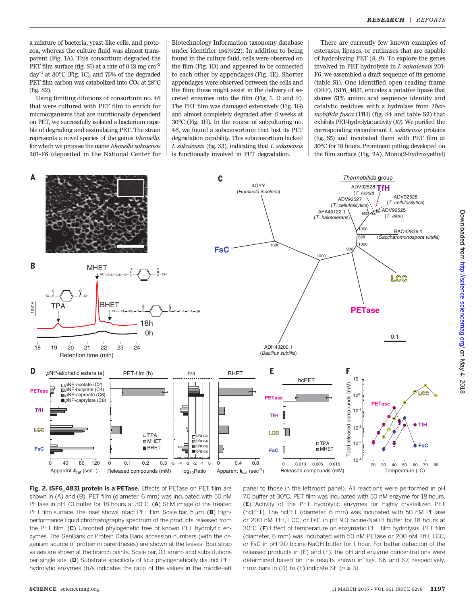a mixture of bacteria, yeast-like cells, and protozoa, whereas the culture fluid was almost transparent (Fig. 1A). This consortium degraded the PET film surface (fig. S1) at a rate of 0.13 mg  $cm^{-2}$ day<sup>-1</sup> at 30 $^{\circ}$ C (Fig. 1C), and 75% of the degraded PET film carbon was catabolized into  $CO<sub>2</sub>$  at 28°C (fig. S2).

Using limiting dilutions of consortium no. 46 that were cultured with PET film to enrich for microorganisms that are nutritionally dependent on PET, we successfully isolated a bacterium capable of degrading and assimilating PET. The strain represents a novel species of the genus Ideonella, for which we propose the name Ideonella sakaiensis 201-F6 (deposited in the National Center for

Biotechnology Information taxonomy database under identifier 1547922). In addition to being found in the culture fluid, cells were observed on the film (Fig. 1D) and appeared to be connected to each other by appendages (Fig. 1E). Shorter appendages were observed between the cells and the film; these might assist in the delivery of secreted enzymes into the film (Fig. 1, D and F). The PET film was damaged extensively (Fig. 1G) and almost completely degraded after 6 weeks at 30°C (Fig. 1H). In the course of subculturing no. 46, we found a subconsortium that lost its PET degradation capability. This subconsortium lacked I. sakaiensis (fig. S3), indicating that I. sakaiensis is functionally involved in PET degradation.

There are currently few known examples of esterases, lipases, or cutinases that are capable of hydrolyzing PET (8, 9). To explore the genes involved in PET hydrolysis in I. sakaiensis 201- F6, we assembled a draft sequence of its genome (table S1). One identified open reading frame (ORF), ISF6\_4831, encodes a putative lipase that shares 51% amino acid sequence identity and catalytic residues with a hydrolase from Thermobifida fusca (TfH) (fig. S4 and table S2) that exhibits PET-hydrolytic activity (10). We purified the corresponding recombinant I. sakaiensis proteins (fig. S5) and incubated them with PET film at 30°C for 18 hours. Prominent pitting developed on the film surface (Fig. 2A). Mono(2-hydroxyethyl)



Fig. 2. ISF6\_4831 protein is a PETase. Effects of PETase on PET film are shown in (A) and (B). PET film (diameter, 6 mm) was incubated with 50 nM PETase in pH 7.0 buffer for 18 hours at 30°C. (A) SEM image of the treated PET film surface. The inset shows intact PET film. Scale bar, 5  $\mu$ m. (B) Highperformance liquid chromatography spectrum of the products released from the PET film. (C) Unrooted phylogenetic tree of known PET hydrolytic enzymes. The GenBank or Protein Data Bank accession numbers (with the organism source of protein in parentheses) are shown at the leaves. Bootstrap values are shown at the branch points. Scale bar, 0.1 amino acid substitutions per single site. (D) Substrate specificity of four phylogenetically distinct PET hydrolytic enzymes (b/a indicates the ratio of the values in the middle-left

panel to those in the leftmost panel). All reactions were performed in pH 7.0 buffer at 30°C. PET film was incubated with 50 nM enzyme for 18 hours. (E) Activity of the PET hydrolytic enzymes for highly crystallized PET (hcPET). The hcPET (diameter, 6 mm) was incubated with 50 nM PETase or 200 nM TfH, LCC, or FsC in pH 9.0 bicine-NaOH buffer for 18 hours at 30°C. (F) Effect of temperature on enzymatic PET film hydrolysis. PET film (diameter, 6 mm) was incubated with 50 nM PETase or 200 nM TfH, LCC, or FsC in pH 9.0 bicine-NaOH buffer for 1 hour. For better detection of the released products in (E) and (F), the pH and enzyme concentrations were determined based on the results shown in figs. S6 and S7, respectively. Error bars in (D) to (F) indicate SE ( $n \ge 3$ ).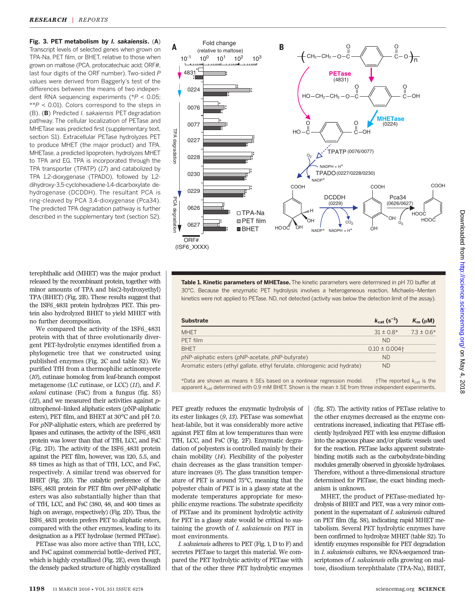Fig. 3. PET metabolism by I. sakaiensis. (A) Transcript levels of selected genes when grown on TPA-Na, PET film, or BHET, relative to those when grown on maltose (PCA, protocatechuic acid; ORF#, last four digits of the ORF number). Two-sided P values were derived from Baggerly's test of the differences between the means of two independent RNA sequencing experiments (\*P < 0.05;  $*P < 0.01$ ). Colors correspond to the steps in (B). (B) Predicted I. sakaiensis PET degradation pathway. The cellular localization of PETase and MHETase was predicted first (supplementary text, section S1). Extracellular PETase hydrolyzes PET to produce MHET (the major product) and TPA. MHETase, a predicted lipoprotein, hydrolyzes MHET to TPA and EG. TPA is incorporated through the TPA transporter (TPATP) (17) and catabolized by TPA 1,2-dioxygenase (TPADO), followed by 1,2 dihydroxy-3,5-cyclohexadiene-1,4-dicarboxylate dehydrogenase (DCDDH). The resultant PCA is ring-cleaved by PCA 3,4-dioxygenase (Pca34). The predicted TPA degradation pathway is further described in the supplementary text (section S2).

terephthalic acid (MHET) was the major product released by the recombinant protein, together with minor amounts of TPA and bis(2-hydroxyethyl) TPA (BHET) (Fig. 2B). These results suggest that the ISF6\_4831 protein hydrolyzes PET. This protein also hydrolyzed BHET to yield MHET with no further decomposition.

We compared the activity of the ISF6\_4831 protein with that of three evolutionarily divergent PET-hydrolytic enzymes identified from a phylogenetic tree that we constructed using published enzymes (Fig. 2C and table S2). We purified TfH from a thermophilic actinomycete (10), cutinase homolog from leaf-branch compost metagenome (LC cutinase, or LCC) (11), and F. solani cutinase (FsC) from a fungus (fig. S5)  $(12)$ , and we measured their activities against pnitrophenol–linked aliphatic esters (pNP-aliphatic esters), PET film, and BHET at 30°C and pH 7.0. For pNP-aliphatic esters, which are preferred by lipases and cutinases, the activity of the ISF6\_4831 protein was lower than that of TfH, LCC, and FsC (Fig. 2D). The activity of the ISF6\_4831 protein against the PET film, however, was 120, 5.5, and 88 times as high as that of TfH, LCC, and FsC, respectively. A similar trend was observed for BHET (Fig. 2D). The catalytic preference of the ISF6\_4831 protein for PET film over pNP-aliphatic esters was also substantially higher than that of TfH, LCC, and FsC (380, 48, and 400 times as high on average, respectively) (Fig. 2D). Thus, the ISF6\_4831 protein prefers PET to aliphatic esters, compared with the other enzymes, leading to its designation as a PET hydrolase (termed PETase).

PETase was also more active than TfH, LCC, and FsC against commercial bottle–derived PET, which is highly crystallized (Fig. 2E), even though the densely packed structure of highly crystallized



Table 1. Kinetic parameters of MHETase. The kinetic parameters were determined in pH 7.0 buffer at 30°C. Because the enzymatic PET hydrolysis involves a heterogeneous reaction, Michaelis–Menten kinetics were not applied to PETase. ND, not detected (activity was below the detection limit of the assay).

| <b>Substrate</b>                                                          | $k_{\text{cat}}$ (s <sup>-1</sup> ) | $K_{m}$ (uM) |
|---------------------------------------------------------------------------|-------------------------------------|--------------|
| <b>MHFT</b>                                                               | $31 \pm 0.8^*$ 7.3 $\pm 0.6^*$      |              |
| PFT film                                                                  |                                     |              |
| <b>BHFT</b>                                                               | $0.10 \pm 0.004$                    |              |
| pNP-aliphatic esters (pNP-acetate, pNP-butyrate)                          |                                     |              |
| Aromatic esters (ethyl gallate, ethyl ferulate, chlorogenic acid hydrate) |                                     |              |

\*Data are shown as means  $\pm$  SEs based on a nonlinear regression model.  $\pm$ The reported  $k_{\text{cat}}$  is the apparent  $k_{\text{cat}}$  determined with 0.9 mM BHET. Shown is the mean  $\pm$  SE from three independent experiments.

PET greatly reduces the enzymatic hydrolysis of its ester linkages (9, 13). PETase was somewhat heat-labile, but it was considerably more active against PET film at low temperatures than were TfH, LCC, and FsC (Fig. 2F). Enzymatic degradation of polyesters is controlled mainly by their chain mobility (14). Flexibility of the polyester chain decreases as the glass transition temperature increases (9). The glass transition temperature of PET is around 75°C, meaning that the polyester chain of PET is in a glassy state at the moderate temperatures appropriate for mesophilic enzyme reactions. The substrate specificity of PETase and its prominent hydrolytic activity for PET in a glassy state would be critical to sustaining the growth of I. sakaiensis on PET in most environments.

I. sakaiensis adheres to PET (Fig. 1, D to F) and secretes PETase to target this material. We compared the PET hydrolytic activity of PETase with that of the other three PET hydrolytic enzymes (fig. S7). The activity ratios of PETase relative to the other enzymes decreased as the enzyme concentrations increased, indicating that PETase efficiently hydrolyzed PET with less enzyme diffusion into the aqueous phase and/or plastic vessels used for the reaction. PETase lacks apparent substratebinding motifs such as the carbohydrate-binding modules generally observed in glycoside hydrolases. Therefore, without a three-dimensional structure determined for PETase, the exact binding mechanism is unknown.

MHET, the product of PETase-mediated hydrolysis of BHET and PET, was a very minor component in the supernatant of I. sakaiensis cultured on PET film (fig. S8), indicating rapid MHET metabolism. Several PET hydrolytic enzymes have been confirmed to hydrolyze MHET (table S2). To identify enzymes responsible for PET degradation in I. sakaiensis cultures, we RNA-sequenced transcriptomes of *I. sakaiensis* cells growing on maltose, disodium terephthalate (TPA-Na), BHET,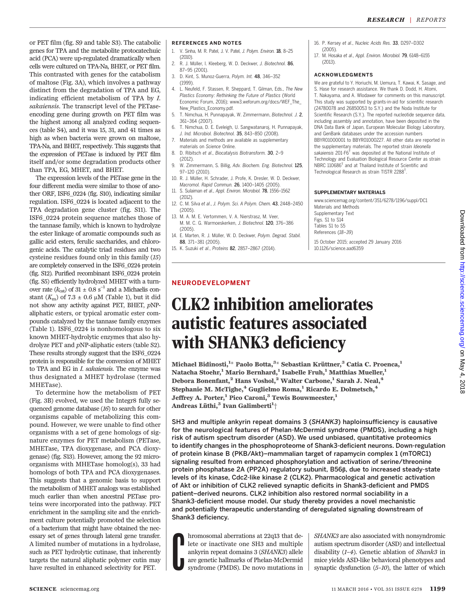or PET film (fig. S9 and table S3). The catabolic genes for TPA and the metabolite protocatechuic acid (PCA) were up-regulated dramatically when cells were cultured on TPA-Na, BHET, or PET film. This contrasted with genes for the catabolism of maltose (Fig. 3A), which involves a pathway distinct from the degradation of TPA and EG, indicating efficient metabolism of TPA by I. sakaiensis. The transcript level of the PETaseencoding gene during growth on PET film was the highest among all analyzed coding sequences (table S4), and it was 15, 31, and 41 times as high as when bacteria were grown on maltose, TPA-Na, and BHET, respectively. This suggests that the expression of PETase is induced by PET film itself and/or some degradation products other than TPA, EG, MHET, and BHET.

The expression levels of the PETase gene in the four different media were similar to those of another ORF, ISF6\_0224 (fig. S10), indicating similar regulation. ISF6\_0224 is located adjacent to the TPA degradation gene cluster (fig. S11). The ISF6\_0224 protein sequence matches those of the tannase family, which is known to hydrolyze the ester linkage of aromatic compounds such as gallic acid esters, ferulic saccharides, and chlorogenic acids. The catalytic triad residues and two cysteine residues found only in this family (15) are completely conserved in the ISF6\_0224 protein (fig. S12). Purified recombinant ISF6\_0224 protein (fig. S5) efficiently hydrolyzed MHET with a turnover rate ( $k_{\text{cat}}$ ) of 31 ± 0.8 s<sup>-1</sup> and a Michaelis constant  $(K<sub>m</sub>)$  of 7.3  $\pm$  0.6 µM (Table 1), but it did not show any activity against PET, BHET, pNPaliphatic esters, or typical aromatic ester compounds catalyzed by the tannase family enzymes (Table 1). ISF6\_0224 is nonhomologous to six known MHET-hydrolytic enzymes that also hydrolyze PET and pNP-aliphatic esters (table S2). These results strongly suggest that the ISF6\_0224 protein is responsible for the conversion of MHET to TPA and EG in *I. sakaiensis*. The enzyme was thus designated a MHET hydrolase (termed MHETase).

To determine how the metabolism of PET (Fig. 3B) evolved, we used the Integr8 fully sequenced genome database (16) to search for other organisms capable of metabolizing this compound. However, we were unable to find other organisms with a set of gene homologs of signature enzymes for PET metabolism (PETase, MHETase, TPA dioxygenase, and PCA dioxygenase) (fig. S13). However, among the 92 microorganisms with MHETase homolog(s), 33 had homologs of both TPA and PCA dioxygenases. This suggests that a genomic basis to support the metabolism of MHET analogs was established much earlier than when ancestral PETase proteins were incorporated into the pathway. PET enrichment in the sampling site and the enrichment culture potentially promoted the selection of a bacterium that might have obtained the necessary set of genes through lateral gene transfer. A limited number of mutations in a hydrolase, such as PET hydrolytic cutinase, that inherently targets the natural aliphatic polymer cutin may have resulted in enhanced selectivity for PET.

## **REFERENCES AND NOTES**

- ..\_. \_\_.\_\_... \_\_\_ .... \_\_. ... \_\_.<br>1. V. Sinha, M. R. Patel, J. V. Patel, *J. Polym. Environ.* **18**, 8–25 (2010).
- 2. R. J. Müller, I. Kleeberg, W. D. Deckwer, J. Biotechnol. 86, 87–95 (2001).
- 3. D. Kint, S. Munoz-Guerra, Polym. Int. 48, 346–352 (1999).
- 4. L. Neufeld, F. Stassen, R. Sheppard, T. Gilman, Eds., The New Plastics Economy: Rethinking the Future of Plastics (World Economic Forum, 2016); www3.weforum.org/docs/WEF\_The\_ New Plastics Economy.pdf.
- 5. T. Nimchua, H. Punnapayak, W. Zimmermann, Biotechnol. J. 2, 361–364 (2007).
- 6. T. Nimchua, D. E. Eveleigh, U. Sangwatanaroj, H. Punnapayak, J. Ind. Microbiol. Biotechnol. 35, 843–850 (2008).
- 7. Materials and methods are available as supplementary materials on Science Online.
- 8. D. Ribitsch et al., Biocatalysis Biotransform. 30, 2-9 (2012).
- 9. W. Zimmermann, S. Billig, Adv. Biochem. Eng. Biotechnol. 125, 97–120 (2010).
- 10. R. J. Müller, H. Schrader, J. Profe, K. Dresler, W. D. Deckwer, Macromol. Rapid Commun. 26, 1400–1405 (2005).
- 11. S. Sulaiman et al., Appl. Environ. Microbiol. 78, 1556–1562 (2012).
- 12. C. M. Silva et al., J. Polym. Sci. A Polym. Chem. 43, 2448–2450 (2005).
- 13. M. A. M. E. Vertommen, V. A. Nierstrasz, M. Veer, M. M. C. G. Warmoeskerken, J. Biotechnol. 120, 376–386 (2005).
- 14. E. Marten, R. J. Müller, W. D. Deckwer, Polym. Degrad. Stabil. 88, 371–381 (2005).
- 15. K. Suzuki et al., Proteins 82, 2857–2867 (2014).

### 16. P. Kersey et al., Nucleic Acids Res. 33, D297–D302 (2005).

17. M. Hosaka et al., Appl. Environ. Microbiol. 79, 6148–6155 (2013).

ACKNOWLEDGMENTS We are grateful to Y. Horiuchi, M. Uemura, T. Kawai, K. Sasage, and S. Hase for research assistance. We thank D. Dodd, H. Atomi, T. Nakayama, and A. Wlodawer for comments on this manuscript. This study was supported by grants-in-aid for scientific research (24780078 and 26850053 to S.Y.) and the Noda Institute for Scientific Research (S.Y.). The reported nucleotide sequence data including assembly and annotation, have been deposited in the DNA Data Bank of Japan, European Molecular Biology Laboratory, and GenBank databases under the accession numbers BBYR01000001 to BBYR01000227. All other data are reported in the supplementary materials. The reported strain Ideonella sakaiensis 201-F6 $<sup>T</sup>$  was deposited at the National Institute of</sup> Technology and Evaluation Biological Resource Center as strain NBRC 110686<sup>T</sup> and at Thailand Institute of Scientific and Technological Research as strain TISTR 2288<sup>T</sup> .

www.sciencemag.org/content/351/6278/1196/suppl/DC1 Materials and Methods Supplementary Text Figs. S1 to S14 Tables S1 to S5 References (18*–*39)

15 October 2015; accepted 29 January 2016 10.1126/science.aad6359

# CLK2 inhibition ameliorates autistic features associated with SHANK3 deficiency

Michael Bidinosti, $^{1\star}$  Paolo Botta, $^{3\star}$  Sebastian Krüttner, $^3$  Catia C. Proenca, $^1$ Natacha Stoehr,<sup>1</sup> Mario Bernhard,<sup>1</sup> Isabelle Fruh,<sup>1</sup> Matthias Mueller,<sup>1</sup> Debora Bonenfant,<sup>2</sup> Hans Voshol,<sup>2</sup> Walter Carbone,<sup>1</sup> Sarah J. Neal,<sup>4</sup> Stephanie M. McTighe,<sup>4</sup> Guglielmo Roma,<sup>1</sup> Ricardo E. Dolmetsch,<sup>4</sup> Jeffrey A. Porter,<sup>1</sup> Pico Caroni,<sup>3</sup> Tewis Bouwmeester,<sup>1</sup> Andreas Lüthi, $^3$  Ivan Galimberti $^1\!+\!$ 

SH3 and multiple ankyrin repeat domains 3 (SHANK3) haploinsufficiency is causative for the neurological features of Phelan-McDermid syndrome (PMDS), including a high risk of autism spectrum disorder (ASD). We used unbiased, quantitative proteomics to identify changes in the phosphoproteome of Shank3-deficient neurons. Down-regulation of protein kinase B (PKB/Akt)–mammalian target of rapamycin complex 1 (mTORC1) signaling resulted from enhanced phosphorylation and activation of serine/threonine protein phosphatase 2A (PP2A) regulatory subunit, B56b, due to increased steady-state levels of its kinase, Cdc2-like kinase 2 (CLK2). Pharmacological and genetic activation of Akt or inhibition of CLK2 relieved synaptic deficits in Shank3-deficient and PMDS patient–derived neurons. CLK2 inhibition also restored normal sociability in a Shank3-deficient mouse model. Our study thereby provides a novel mechanistic and potentially therapeutic understanding of deregulated signaling downstream of Shank3 deficiency.

**C** hromosomal aberrations at 22q13 that delete or inactivate one SH3 and multiple ankyrin repeat domains 3 (SHANK3) allele are genetic hallmarks of Phelan-McDermid syndrome (PMDS). De novo mutations in

SHANK3 are also associated with nonsyndromic autism spectrum disorder (ASD) and intellectual disability (1–4). Genetic ablation of Shank3 in mice yields ASD-like behavioral phenotypes and synaptic dysfunction (5–10), the latter of which